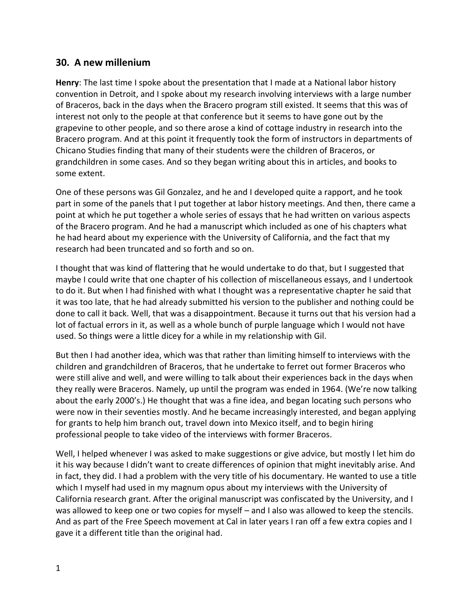## **30. A new millenium**

**Henry**: The last time I spoke about the presentation that I made at a National labor history convention in Detroit, and I spoke about my research involving interviews with a large number of Braceros, back in the days when the Bracero program still existed. It seems that this was of interest not only to the people at that conference but it seems to have gone out by the grapevine to other people, and so there arose a kind of cottage industry in research into the Bracero program. And at this point it frequently took the form of instructors in departments of Chicano Studies finding that many of their students were the children of Braceros, or grandchildren in some cases. And so they began writing about this in articles, and books to some extent.

One of these persons was Gil Gonzalez, and he and I developed quite a rapport, and he took part in some of the panels that I put together at labor history meetings. And then, there came a point at which he put together a whole series of essays that he had written on various aspects of the Bracero program. And he had a manuscript which included as one of his chapters what he had heard about my experience with the University of California, and the fact that my research had been truncated and so forth and so on.

I thought that was kind of flattering that he would undertake to do that, but I suggested that maybe I could write that one chapter of his collection of miscellaneous essays, and I undertook to do it. But when I had finished with what I thought was a representative chapter he said that it was too late, that he had already submitted his version to the publisher and nothing could be done to call it back. Well, that was a disappointment. Because it turns out that his version had a lot of factual errors in it, as well as a whole bunch of purple language which I would not have used. So things were a little dicey for a while in my relationship with Gil.

But then I had another idea, which was that rather than limiting himself to interviews with the children and grandchildren of Braceros, that he undertake to ferret out former Braceros who were still alive and well, and were willing to talk about their experiences back in the days when they really were Braceros. Namely, up until the program was ended in 1964. (We're now talking about the early 2000's.) He thought that was a fine idea, and began locating such persons who were now in their seventies mostly. And he became increasingly interested, and began applying for grants to help him branch out, travel down into Mexico itself, and to begin hiring professional people to take video of the interviews with former Braceros.

Well, I helped whenever I was asked to make suggestions or give advice, but mostly I let him do it his way because I didn't want to create differences of opinion that might inevitably arise. And in fact, they did. I had a problem with the very title of his documentary. He wanted to use a title which I myself had used in my magnum opus about my interviews with the University of California research grant. After the original manuscript was confiscated by the University, and I was allowed to keep one or two copies for myself – and I also was allowed to keep the stencils. And as part of the Free Speech movement at Cal in later years I ran off a few extra copies and I gave it a different title than the original had.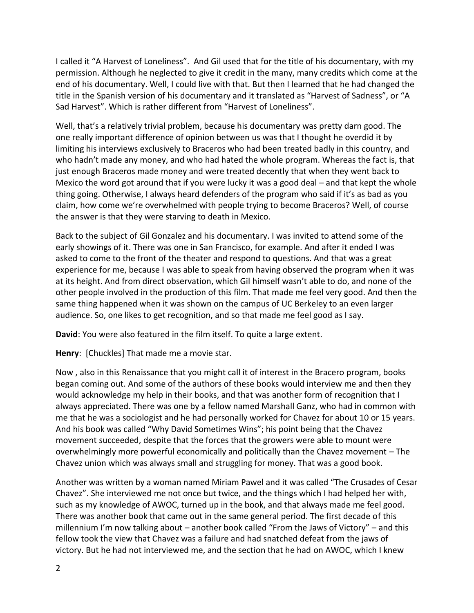I called it "A Harvest of Loneliness". And Gil used that for the title of his documentary, with my permission. Although he neglected to give it credit in the many, many credits which come at the end of his documentary. Well, I could live with that. But then I learned that he had changed the title in the Spanish version of his documentary and it translated as "Harvest of Sadness", or "A Sad Harvest". Which is rather different from "Harvest of Loneliness".

Well, that's a relatively trivial problem, because his documentary was pretty darn good. The one really important difference of opinion between us was that I thought he overdid it by limiting his interviews exclusively to Braceros who had been treated badly in this country, and who hadn't made any money, and who had hated the whole program. Whereas the fact is, that just enough Braceros made money and were treated decently that when they went back to Mexico the word got around that if you were lucky it was a good deal – and that kept the whole thing going. Otherwise, I always heard defenders of the program who said if it's as bad as you claim, how come we're overwhelmed with people trying to become Braceros? Well, of course the answer is that they were starving to death in Mexico.

Back to the subject of Gil Gonzalez and his documentary. I was invited to attend some of the early showings of it. There was one in San Francisco, for example. And after it ended I was asked to come to the front of the theater and respond to questions. And that was a great experience for me, because I was able to speak from having observed the program when it was at its height. And from direct observation, which Gil himself wasn't able to do, and none of the other people involved in the production of this film. That made me feel very good. And then the same thing happened when it was shown on the campus of UC Berkeley to an even larger audience. So, one likes to get recognition, and so that made me feel good as I say.

**David**: You were also featured in the film itself. To quite a large extent.

**Henry**: [Chuckles] That made me a movie star.

Now , also in this Renaissance that you might call it of interest in the Bracero program, books began coming out. And some of the authors of these books would interview me and then they would acknowledge my help in their books, and that was another form of recognition that I always appreciated. There was one by a fellow named Marshall Ganz, who had in common with me that he was a sociologist and he had personally worked for Chavez for about 10 or 15 years. And his book was called "Why David Sometimes Wins"; his point being that the Chavez movement succeeded, despite that the forces that the growers were able to mount were overwhelmingly more powerful economically and politically than the Chavez movement – The Chavez union which was always small and struggling for money. That was a good book.

Another was written by a woman named Miriam Pawel and it was called "The Crusades of Cesar Chavez". She interviewed me not once but twice, and the things which I had helped her with, such as my knowledge of AWOC, turned up in the book, and that always made me feel good. There was another book that came out in the same general period. The first decade of this millennium I'm now talking about – another book called "From the Jaws of Victory" – and this fellow took the view that Chavez was a failure and had snatched defeat from the jaws of victory. But he had not interviewed me, and the section that he had on AWOC, which I knew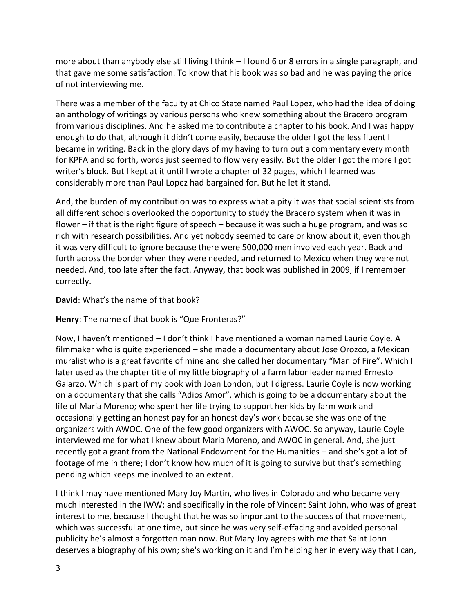more about than anybody else still living I think – I found 6 or 8 errors in a single paragraph, and that gave me some satisfaction. To know that his book was so bad and he was paying the price of not interviewing me.

There was a member of the faculty at Chico State named Paul Lopez, who had the idea of doing an anthology of writings by various persons who knew something about the Bracero program from various disciplines. And he asked me to contribute a chapter to his book. And I was happy enough to do that, although it didn't come easily, because the older I got the less fluent I became in writing. Back in the glory days of my having to turn out a commentary every month for KPFA and so forth, words just seemed to flow very easily. But the older I got the more I got writer's block. But I kept at it until I wrote a chapter of 32 pages, which I learned was considerably more than Paul Lopez had bargained for. But he let it stand.

And, the burden of my contribution was to express what a pity it was that social scientists from all different schools overlooked the opportunity to study the Bracero system when it was in flower – if that is the right figure of speech – because it was such a huge program, and was so rich with research possibilities. And yet nobody seemed to care or know about it, even though it was very difficult to ignore because there were 500,000 men involved each year. Back and forth across the border when they were needed, and returned to Mexico when they were not needed. And, too late after the fact. Anyway, that book was published in 2009, if I remember correctly.

## **David**: What's the name of that book?

**Henry**: The name of that book is "Que Fronteras?"

Now, I haven't mentioned – I don't think I have mentioned a woman named Laurie Coyle. A filmmaker who is quite experienced – she made a documentary about Jose Orozco, a Mexican muralist who is a great favorite of mine and she called her documentary "Man of Fire". Which I later used as the chapter title of my little biography of a farm labor leader named Ernesto Galarzo. Which is part of my book with Joan London, but I digress. Laurie Coyle is now working on a documentary that she calls "Adios Amor", which is going to be a documentary about the life of Maria Moreno; who spent her life trying to support her kids by farm work and occasionally getting an honest pay for an honest day's work because she was one of the organizers with AWOC. One of the few good organizers with AWOC. So anyway, Laurie Coyle interviewed me for what I knew about Maria Moreno, and AWOC in general. And, she just recently got a grant from the National Endowment for the Humanities – and she's got a lot of footage of me in there; I don't know how much of it is going to survive but that's something pending which keeps me involved to an extent.

I think I may have mentioned Mary Joy Martin, who lives in Colorado and who became very much interested in the IWW; and specifically in the role of Vincent Saint John, who was of great interest to me, because I thought that he was so important to the success of that movement, which was successful at one time, but since he was very self-effacing and avoided personal publicity he's almost a forgotten man now. But Mary Joy agrees with me that Saint John deserves a biography of his own; she's working on it and I'm helping her in every way that I can,